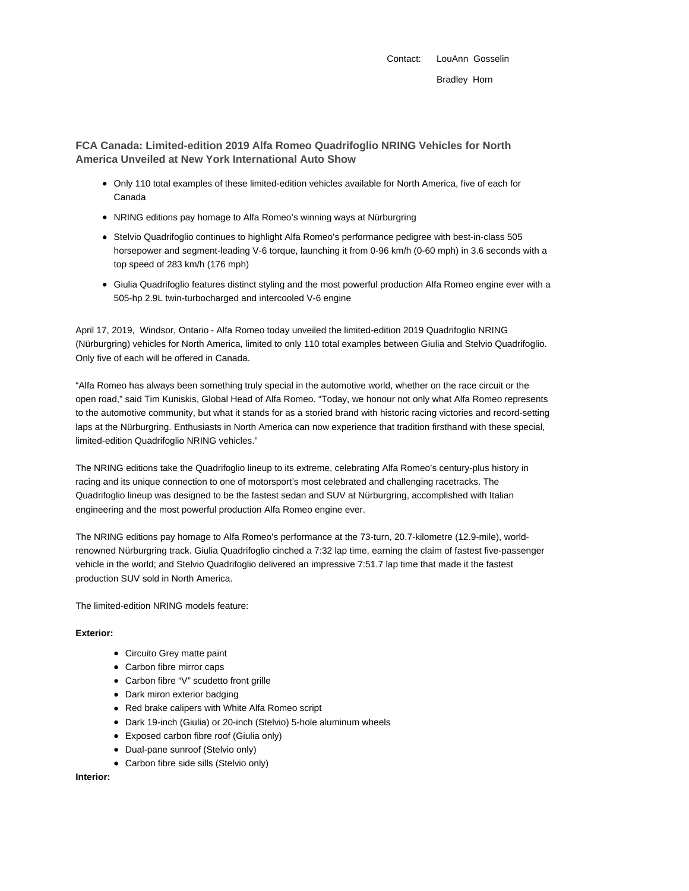Contact: LouAnn Gosselin Bradley Horn

**FCA Canada: Limited-edition 2019 Alfa Romeo Quadrifoglio NRING Vehicles for North America Unveiled at New York International Auto Show**

- Only 110 total examples of these limited-edition vehicles available for North America, five of each for Canada
- NRING editions pay homage to Alfa Romeo's winning ways at Nürburgring
- Stelvio Quadrifoglio continues to highlight Alfa Romeo's performance pedigree with best-in-class 505 horsepower and segment-leading V-6 torque, launching it from 0-96 km/h (0-60 mph) in 3.6 seconds with a top speed of 283 km/h (176 mph)
- Giulia Quadrifoglio features distinct styling and the most powerful production Alfa Romeo engine ever with a 505-hp 2.9L twin-turbocharged and intercooled V-6 engine

April 17, 2019, Windsor, Ontario - Alfa Romeo today unveiled the limited-edition 2019 Quadrifoglio NRING (Nürburgring) vehicles for North America, limited to only 110 total examples between Giulia and Stelvio Quadrifoglio. Only five of each will be offered in Canada.

"Alfa Romeo has always been something truly special in the automotive world, whether on the race circuit or the open road," said Tim Kuniskis, Global Head of Alfa Romeo. "Today, we honour not only what Alfa Romeo represents to the automotive community, but what it stands for as a storied brand with historic racing victories and record-setting laps at the Nürburgring. Enthusiasts in North America can now experience that tradition firsthand with these special, limited-edition Quadrifoglio NRING vehicles."

The NRING editions take the Quadrifoglio lineup to its extreme, celebrating Alfa Romeo's century-plus history in racing and its unique connection to one of motorsport's most celebrated and challenging racetracks. The Quadrifoglio lineup was designed to be the fastest sedan and SUV at Nürburgring, accomplished with Italian engineering and the most powerful production Alfa Romeo engine ever.

The NRING editions pay homage to Alfa Romeo's performance at the 73-turn, 20.7-kilometre (12.9-mile), worldrenowned Nürburgring track. Giulia Quadrifoglio cinched a 7:32 lap time, earning the claim of fastest five-passenger vehicle in the world; and Stelvio Quadrifoglio delivered an impressive 7:51.7 lap time that made it the fastest production SUV sold in North America.

The limited-edition NRING models feature:

## **Exterior:**

- Circuito Grey matte paint
- Carbon fibre mirror caps
- Carbon fibre "V" scudetto front grille
- Dark miron exterior badging
- Red brake calipers with White Alfa Romeo script
- Dark 19-inch (Giulia) or 20-inch (Stelvio) 5-hole aluminum wheels
- Exposed carbon fibre roof (Giulia only)
- Dual-pane sunroof (Stelvio only)
- Carbon fibre side sills (Stelvio only)

## **Interior:**